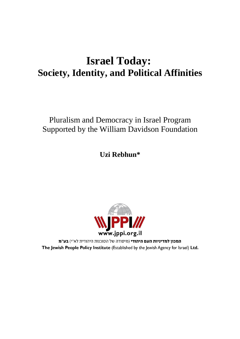# **Israel Today: Society, Identity, and Political Affinities**

## Pluralism and Democracy in Israel Program Supported by the William Davidson Foundation

**Uzi Rebhun\***



המכון למדיניות העם היהודי (מיסודה של הסוכנות היהודית לא"י) בע"מ The Jewish People Policy Institute (Established by the Jewish Agency for Israel) Ltd.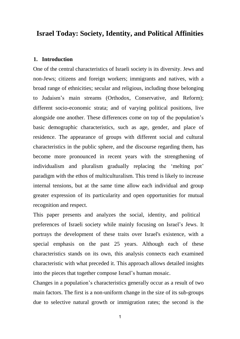### **Israel Today: Society, Identity, and Political Affinities**

#### **1. Introduction**

One of the central characteristics of Israeli society is its diversity. Jews and non-Jews; citizens and foreign workers; immigrants and natives, with a broad range of ethnicities; secular and religious, including those belonging to Judaism's main streams (Orthodox, Conservative, and Reform); different socio-economic strata; and of varying political positions, live alongside one another. These differences come on top of the population's basic demographic characteristics, such as age, gender, and place of residence. The appearance of groups with different social and cultural characteristics in the public sphere, and the discourse regarding them, has become more pronounced in recent years with the strengthening of individualism and pluralism gradually replacing the 'melting pot' paradigm with the ethos of multiculturalism. This trend is likely to increase internal tensions, but at the same time allow each individual and group greater expression of its particularity and open opportunities for mutual recognition and respect.

This paper presents and analyzes the social, identity, and political preferences of Israeli society while mainly focusing on Israel's Jews. It portrays the development of these traits over Israel's existence, with a special emphasis on the past 25 years. Although each of these characteristics stands on its own, this analysis connects each examined characteristic with what preceded it. This approach allows detailed insights into the pieces that together compose Israel's human mosaic.

Changes in a population's characteristics generally occur as a result of two main factors. The first is a non-uniform change in the size of its sub-groups due to selective natural growth or immigration rates; the second is the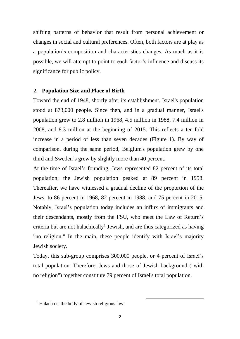shifting patterns of behavior that result from personal achievement or changes in social and cultural preferences. Often, both factors are at play as a population's composition and characteristics changes. As much as it is possible, we will attempt to point to each factor's influence and discuss its significance for public policy.

#### **2. Population Size and Place of Birth**

Toward the end of 1948, shortly after its establishment, Israel's population stood at 873,000 people. Since then, and in a gradual manner, Israel's population grew to 2.8 million in 1968, 4.5 million in 1988, 7.4 million in 2008, and 8.3 million at the beginning of 2015. This reflects a ten-fold increase in a period of less than seven decades (Figure 1). By way of comparison, during the same period, Belgium's population grew by one third and Sweden's grew by slightly more than 40 percent.

At the time of Israel's founding, Jews represented 82 percent of its total population; the Jewish population peaked at 89 percent in 1958. Thereafter, we have witnessed a gradual decline of the proportion of the Jews: to 86 percent in 1968, 82 percent in 1988, and 75 percent in 2015. Notably, Israel's population today includes an influx of immigrants and their descendants, mostly from the FSU, who meet the Law of Return's criteria but are not halachically<sup>1</sup> Jewish, and are thus categorized as having "no religion." In the main, these people identify with Israel's majority Jewish society.

Today, this sub-group comprises 300,000 people, or 4 percent of Israel's total population. Therefore, Jews and those of Jewish background ("with no religion") together constitute 79 percent of Israel's total population.

 $\overline{a}$ 

 $<sup>1</sup>$  Halacha is the body of Jewish religious law.</sup>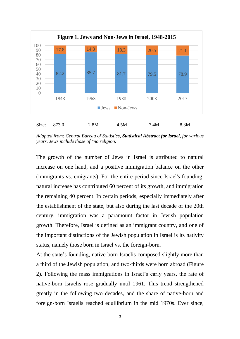

*Adopted from: Central Bureau of Statistics, Statistical Abstract for Israel, for various years. Jews include those of "no religion."*

The growth of the number of Jews in Israel is attributed to natural increase on one hand, and a positive immigration balance on the other (immigrants vs. emigrants). For the entire period since Israel's founding, natural increase has contributed 60 percent of its growth, and immigration the remaining 40 percent. In certain periods, especially immediately after the establishment of the state, but also during the last decade of the 20th century, immigration was a paramount factor in Jewish population growth. Therefore, Israel is defined as an immigrant country, and one of the important distinctions of the Jewish population in Israel is its nativity status, namely those born in Israel vs. the foreign-born.

At the state's founding, native-born Israelis composed slightly more than a third of the Jewish population, and two-thirds were born abroad (Figure 2). Following the mass immigrations in Israel's early years, the rate of native-born Israelis rose gradually until 1961. This trend strengthened greatly in the following two decades, and the share of native-born and foreign-born Israelis reached equilibrium in the mid 1970s. Ever since,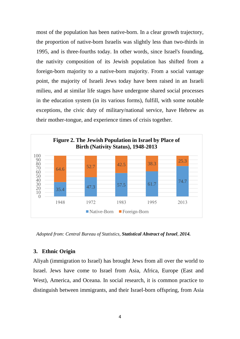most of the population has been native-born. In a clear growth trajectory, the proportion of native-born Israelis was slightly less than two-thirds in 1995, and is three-fourths today. In other words, since Israel's founding, the nativity composition of its Jewish population has shifted from a foreign-born majority to a native-born majority. From a social vantage point, the majority of Israeli Jews today have been raised in an Israeli milieu, and at similar life stages have undergone shared social processes in the education system (in its various forms), fulfill, with some notable exceptions, the civic duty of military/national service, have Hebrew as their mother-tongue, and experience times of crisis together.



*Adopted from: Central Bureau of Statistics, Statistical Abstract of Israel, 2014.*

#### **3. Ethnic Origin**

Aliyah (immigration to Israel) has brought Jews from all over the world to Israel. Jews have come to Israel from Asia, Africa, Europe (East and West), America, and Oceana. In social research, it is common practice to distinguish between immigrants, and their Israel-born offspring, from Asia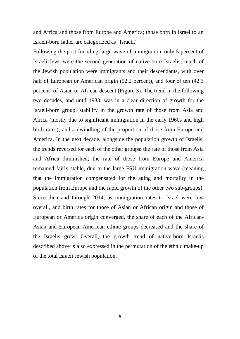and Africa and those from Europe and America; those born in Israel to an Israeli-born father are categorized as "Israeli."

Following the post-founding large wave of immigration, only 5 percent of Israeli Jews were the second generation of native-born Israelis; much of the Jewish population were immigrants and their descendants, with over half of European or American origin (52.2 percent), and four of ten (42.3 percent) of Asian or African descent (Figure 3). The trend in the following two decades, and until 1983, was in a clear direction of growth for the Israeli-born group; stability in the growth rate of those from Asia and Africa (mostly due to significant immigration in the early 1960s and high birth rates); and a dwindling of the proportion of those from Europe and America. In the next decade, alongside the population growth of Israelis, the trends reversed for each of the other groups: the rate of those from Asia and Africa diminished; the rate of those from Europe and America remained fairly stable, due to the large FSU immigration wave (meaning that the immigration compensated for the aging and mortality in the population from Europe and the rapid growth of the other two sub-groups). Since then and through 2014, as immigration rates to Israel were low overall, and birth rates for those of Asian or African origin and those of European or America origin converged, the share of each of the African-Asian and European-American ethnic groups decreased and the share of the Israelis grew. Overall, the growth trend of native-born Israelis described above is also expressed in the permutation of the ethnic make-up of the total Israeli Jewish population.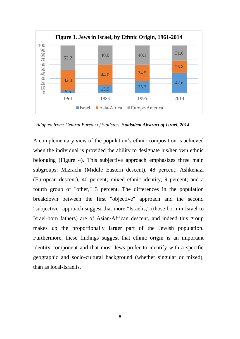

*Adopted from: Central Bureau of Statistics, Statistical Abstract of Israel, 2014.*

A complementary view of the population's ethnic composition is achieved when the individual is provided the ability to designate his/her own ethnic belonging (Figure 4). This subjective approach emphasizes three main subgroups: Mizrachi (Middle Eastern descent), 48 percent; Ashkenazi (European descent), 40 percent; mixed ethnic identity, 9 percent; and a fourth group of "other," 3 percent. The differences in the population breakdown between the first "objective" approach and the second "subjective" approach suggest that more "Israelis," (those born in Israel to Israel-born fathers) are of Asian/African descent, and indeed this group makes up the proportionally larger part of the Jewish population. Furthermore, these findings suggest that ethnic origin is an important identity component and that most Jews prefer to identify with a specific geographic and socio-cultural background (whether singular or mixed), than as local-Israelis.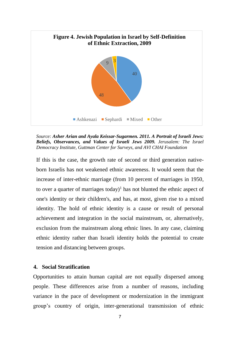

*Source: Asher Arian and Ayala Keissar-Sugarmen. 2011. A Portrait of Israeli Jews: Beliefs, Observances, and Values of Israeli Jews 2009. Jerusalem: The Israel Democracy Institute, Guttman Center for Surveys, and AVI CHAI Foundation*

If this is the case, the growth rate of second or third generation nativeborn Israelis has not weakened ethnic awareness. It would seem that the increase of inter-ethnic marriage (from 10 percent of marriages in 1950, to over a quarter of marriages today)<sup>1</sup> has not blunted the ethnic aspect of one's identity or their children's, and has, at most, given rise to a mixed identity. The hold of ethnic identity is a cause or result of personal achievement and integration in the social mainstream, or, alternatively, exclusion from the mainstream along ethnic lines. In any case, claiming ethnic identity rather than Israeli identity holds the potential to create tension and distancing between groups.

#### **4. Social Stratification**

Opportunities to attain human capital are not equally dispersed among people. These differences arise from a number of reasons, including variance in the pace of development or modernization in the immigrant group's country of origin, inter-generational transmission of ethnic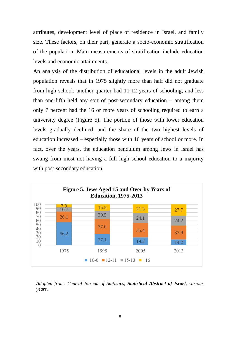attributes, development level of place of residence in Israel, and family size. These factors, on their part, generate a socio-economic stratification of the population. Main measurements of stratification include education levels and economic attainments.

An analysis of the distribution of educational levels in the adult Jewish population reveals that in 1975 slightly more than half did not graduate from high school; another quarter had 11-12 years of schooling, and less than one-fifth held any sort of post-secondary education – among them only 7 percent had the 16 or more years of schooling required to earn a university degree (Figure 5). The portion of those with lower education levels gradually declined, and the share of the two highest levels of education increased – especially those with 16 years of school or more. In fact, over the years, the education pendulum among Jews in Israel has swung from most not having a full high school education to a majority with post-secondary education.



*Adopted from: Central Bureau of Statistics, Statistical Abstract of Israel, various years.*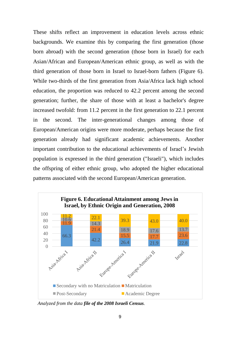These shifts reflect an improvement in education levels across ethnic backgrounds. We examine this by comparing the first generation (those born abroad) with the second generation (those born in Israel) for each Asian/African and European/American ethnic group, as well as with the third generation of those born in Israel to Israel-born fathers (Figure 6). While two-thirds of the first generation from Asia/Africa lack high school education, the proportion was reduced to 42.2 percent among the second generation; further, the share of those with at least a bachelor's degree increased twofold: from 11.2 percent in the first generation to 22.1 percent in the second. The inter-generational changes among those of European/American origins were more moderate, perhaps because the first generation already had significant academic achievements. Another important contribution to the educational achievements of Israel's Jewish population is expressed in the third generation ("Israeli"), which includes the offspring of either ethnic group, who adopted the higher educational patterns associated with the second European/American generation.



*Analyzed from the data file of the 2008 Israeli Census.*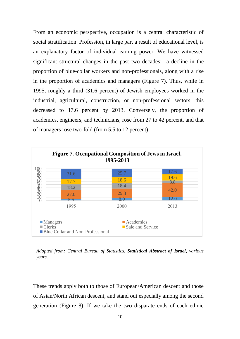From an economic perspective, occupation is a central characteristic of social stratification. Profession, in large part a result of educational level, is an explanatory factor of individual earning power. We have witnessed significant structural changes in the past two decades: a decline in the proportion of blue-collar workers and non-professionals, along with a rise in the proportion of academics and managers (Figure 7). Thus, while in 1995, roughly a third (31.6 percent) of Jewish employees worked in the industrial, agricultural, construction, or non-professional sectors, this decreased to 17.6 percent by 2013. Conversely, the proportion of academics, engineers, and technicians, rose from 27 to 42 percent, and that of managers rose two-fold (from 5.5 to 12 percent).



*Adopted from: Central Bureau of Statistics, Statistical Abstract of Israel, various years.*

These trends apply both to those of European/American descent and those of Asian/North African descent, and stand out especially among the second generation (Figure 8). If we take the two disparate ends of each ethnic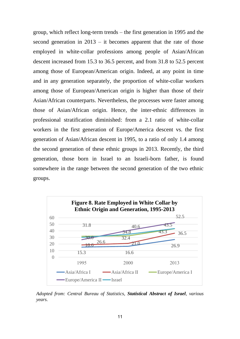group, which reflect long-term trends – the first generation in 1995 and the second generation in 2013 – it becomes apparent that the rate of those employed in white-collar professions among people of Asian/African descent increased from 15.3 to 36.5 percent, and from 31.8 to 52.5 percent among those of European/American origin. Indeed, at any point in time and in any generation separately, the proportion of white-collar workers among those of European/American origin is higher than those of their Asian/African counterparts. Nevertheless, the processes were faster among those of Asian/African origin. Hence, the inter-ethnic differences in professional stratification diminished: from a 2.1 ratio of white-collar workers in the first generation of Europe/America descent vs. the first generation of Asian/African descent in 1995, to a ratio of only 1.4 among the second generation of these ethnic groups in 2013. Recently, the third generation, those born in Israel to an Israeli-born father, is found somewhere in the range between the second generation of the two ethnic groups.



*Adopted from: Central Bureau of Statistics, Statistical Abstract of Israel, various years.*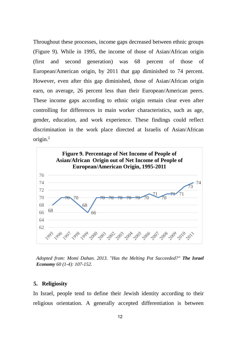Throughout these processes, income gaps decreased between ethnic groups (Figure 9). While in 1995, the income of those of Asian/African origin (first and second generation) was 68 percent of those of European/American origin, by 2011 that gap diminished to 74 percent. However, even after this gap diminished, those of Asian/African origin earn, on average, 26 percent less than their European/American peers. These income gaps according to ethnic origin remain clear even after controlling for differences in main worker characteristics, such as age, gender, education, and work experience. These findings could reflect discrimination in the work place directed at Israelis of Asian/African origin. $^{2}$ 



*Adopted from: Momi Dahan. 2013. "Has the Melting Pot Succeeded?" The Israel Economy 60 (1-4): 107-152.*

#### **5. Religiosity**

In Israel, people tend to define their Jewish identity according to their religious orientation. A generally accepted differentiation is between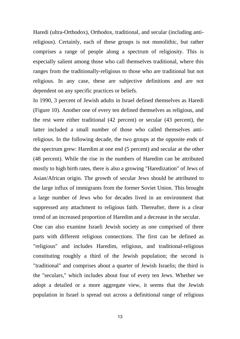Haredi (ultra-Orthodox), Orthodox, traditional, and secular (including antireligious). Certainly, each of these groups is not monolithic, but rather comprises a range of people along a spectrum of religiosity. This is especially salient among those who call themselves traditional, where this ranges from the traditionally-religious to those who are traditional but not religious. In any case, these are subjective definitions and are not dependent on any specific practices or beliefs.

In 1990, 3 percent of Jewish adults in Israel defined themselves as Haredi (Figure 10). Another one of every ten defined themselves as religious, and the rest were either traditional (42 percent) or secular (43 percent), the latter included a small number of those who called themselves antireligious. In the following decade, the two groups at the opposite ends of the spectrum grew: Haredim at one end (5 percent) and secular at the other (48 percent). While the rise in the numbers of Haredim can be attributed mostly to high birth rates, there is also a growing "Haredization" of Jews of Asian/African origin. The growth of secular Jews should be attributed to the large influx of immigrants from the former Soviet Union. This brought a large number of Jews who for decades lived in an environment that suppressed any attachment to religious faith. Thereafter, there is a clear trend of an increased proportion of Haredim and a decrease in the secular. One can also examine Israeli Jewish society as one comprised of three parts with different religious connections. The first can be defined as "religious" and includes Haredim, religious, and traditional-religious constituting roughly a third of the Jewish population; the second is "traditional" and comprises about a quarter of Jewish Israelis; the third is the "seculars," which includes about four of every ten Jews. Whether we adopt a detailed or a more aggregate view, it seems that the Jewish population in Israel is spread out across a definitional range of religious

13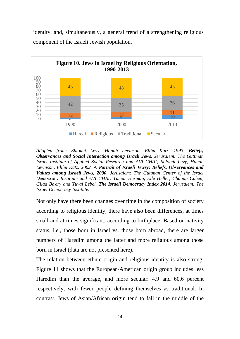identity, and, simultaneously, a general trend of a strengthening religious component of the Israeli Jewish population.



*Adopted from: Shlomit Levy, Hanah Levinson, Elihu Katz. 1993. Beliefs, Observances and Social Interaction among Israeli Jews. Jerusalem: The Guttman Israel Institute of Applied Social Research and AVI CHAI; Shlomit Levy, Hanah Levinson, Elihu Katz. 2002. A Portrait of Israeli Jewry: Beliefs, Observances and Values among Israeli Jews, 2000. Jerusalem: The Guttman Center of the Israel Democracy Institiute and AVI CHAI; Tamar Herman, Elle Heller, Chanan Cohen, Gilad Be'ery and Yuval Lebel. The Israeli Democracy Index 2014. Jerusalem: The Israel Democracy Institute.*

Not only have there been changes over time in the composition of society according to religious identity, there have also been differences, at times small and at times significant, according to birthplace. Based on nativity status, i.e., those born in Israel vs. those born abroad, there are larger numbers of Haredim among the latter and more religious among those born in Israel (data are not presented here).

The relation between ethnic origin and religious identity is also strong. Figure 11 shows that the European/American origin group includes less Haredim than the average, and more secular: 4.9 and 60.6 percent respectively, with fewer people defining themselves as traditional. In contrast, Jews of Asian/African origin tend to fall in the middle of the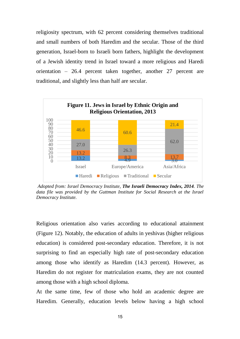religiosity spectrum, with 62 percent considering themselves traditional and small numbers of both Haredim and the secular. Those of the third generation, Israel-born to Israeli born fathers, highlight the development of a Jewish identity trend in Israel toward a more religious and Haredi orientation – 26.4 percent taken together, another 27 percent are traditional, and slightly less than half are secular.



*Adopted from: Israel Democracy Institute, The Israeli Democracy Index, 2014. The data file was provided by the Guttman Institute for Social Research at the Israel Democracy Institute.* 

Religious orientation also varies according to educational attainment (Figure 12). Notably, the education of adults in yeshivas (higher religious education) is considered post-secondary education. Therefore, it is not surprising to find an especially high rate of post-secondary education among those who identify as Haredim (14.3 percent). However, as Haredim do not register for matriculation exams, they are not counted among those with a high school diploma.

At the same time, few of those who hold an academic degree are Haredim. Generally, education levels below having a high school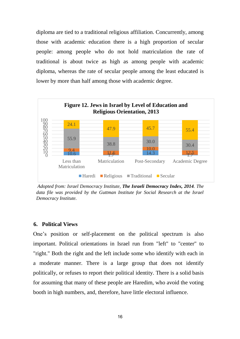diploma are tied to a traditional religious affiliation. Concurrently, among those with academic education there is a high proportion of secular people: among people who do not hold matriculation the rate of traditional is about twice as high as among people with academic diploma, whereas the rate of secular people among the least educated is lower by more than half among those with academic degree.



*Adopted from: Israel Democracy Institute, The Israeli Democracy Index, 2014. The data file was provided by the Guttman Institute for Social Research at the Israel Democracy Institute.* 

#### **6. Political Views**

One's position or self-placement on the political spectrum is also important. Political orientations in Israel run from "left" to "center" to "right." Both the right and the left include some who identify with each in a moderate manner. There is a large group that does not identify politically, or refuses to report their political identity. There is a solid basis for assuming that many of these people are Haredim, who avoid the voting booth in high numbers, and, therefore, have little electoral influence.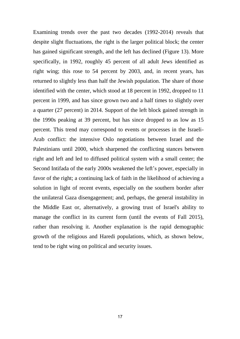Examining trends over the past two decades (1992-2014) reveals that despite slight fluctuations, the right is the larger political block; the center has gained significant strength, and the left has declined (Figure 13). More specifically, in 1992, roughly 45 percent of all adult Jews identified as right wing; this rose to 54 percent by 2003, and, in recent years, has returned to slightly less than half the Jewish population. The share of those identified with the center, which stood at 18 percent in 1992, dropped to 11 percent in 1999, and has since grown two and a half times to slightly over a quarter (27 percent) in 2014. Support of the left block gained strength in the 1990s peaking at 39 percent, but has since dropped to as low as 15 percent. This trend may correspond to events or processes in the Israeli-Arab conflict: the intensive Oslo negotiations between Israel and the Palestinians until 2000, which sharpened the conflicting stances between right and left and led to diffused political system with a small center; the Second Intifada of the early 2000s weakened the left's power, especially in favor of the right; a continuing lack of faith in the likelihood of achieving a solution in light of recent events, especially on the southern border after the unilateral Gaza disengagement; and, perhaps, the general instability in the Middle East or, alternatively, a growing trust of Israel's ability to manage the conflict in its current form (until the events of Fall 2015), rather than resolving it. Another explanation is the rapid demographic growth of the religious and Haredi populations, which, as shown below, tend to be right wing on political and security issues.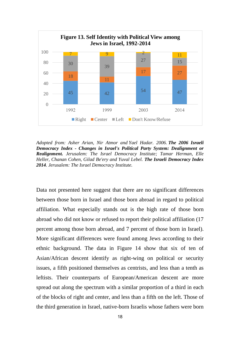

*Adopted from: Asher Arian, Nir Atmor and Yael Hadar. 2006. The 2006 Israeli Democracy Index - Changes in Israel's Political Party System: Dealignment or Realignment. Jerusalem: The Israel Democracy Institute; Tamar Herman, Elle Heller, Chanan Cohen, Gilad Be'ery and Yuval Lebel. The Israeli Democracy Index 2014. Jerusalem: The Israel Democracy Institute.*

Data not presented here suggest that there are no significant differences between those born in Israel and those born abroad in regard to political affiliation. What especially stands out is the high rate of those born abroad who did not know or refused to report their political affiliation (17 percent among those born abroad, and 7 percent of those born in Israel). More significant differences were found among Jews according to their ethnic background. The data in Figure 14 show that six of ten of Asian/African descent identify as right-wing on political or security issues, a fifth positioned themselves as centrists, and less than a tenth as leftists. Their counterparts of European/American descent are more spread out along the spectrum with a similar proportion of a third in each of the blocks of right and center, and less than a fifth on the left. Those of the third generation in Israel, native-born Israelis whose fathers were born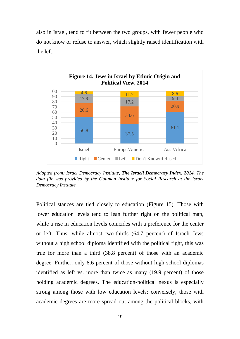also in Israel, tend to fit between the two groups, with fewer people who do not know or refuse to answer, which slightly raised identification with the left.



*Adopted from: Israel Democracy Institute, The Israeli Democracy Index, 2014. The data file was provided by the Guttman Institute for Social Research at the Israel Democracy Institute.* 

Political stances are tied closely to education (Figure 15). Those with lower education levels tend to lean further right on the political map, while a rise in education levels coincides with a preference for the center or left. Thus, while almost two-thirds (64.7 percent) of Israeli Jews without a high school diploma identified with the political right, this was true for more than a third (38.8 percent) of those with an academic degree. Further, only 8.6 percent of those without high school diplomas identified as left vs. more than twice as many (19.9 percent) of those holding academic degrees. The education-political nexus is especially strong among those with low education levels; conversely, those with academic degrees are more spread out among the political blocks, with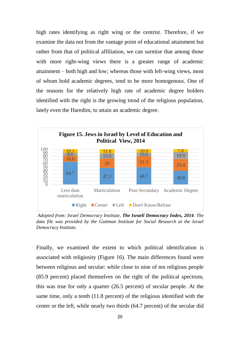high rates identifying as right wing or the centrist. Therefore, if we examine the data not from the vantage point of educational attainment but rather from that of political affiliation, we can surmise that among those with more right-wing views there is a greater range of academic attainment – both high and low; whereas those with left-wing views, most of whom hold academic degrees, tend to be more homogenous. One of the reasons for the relatively high rate of academic degree holders identified with the right is the growing trend of the religious population, lately even the Haredim, to attain an academic degree.



*Adopted from: Israel Democracy Institute, The Israeli Democracy Index, 2014. The data file was provided by the Guttman Institute for Social Research at the Israel Democracy Institute.* 

Finally, we examined the extent to which political identification is associated with religiosity (Figure 16). The main differences found were between religious and secular: while close to nine of ten religious people (85.9 percent) placed themselves on the right of the political spectrum, this was true for only a quarter (26.5 percent) of secular people. At the same time, only a tenth (11.8 percent) of the religious identified with the center or the left, while nearly two thirds (64.7 percent) of the secular did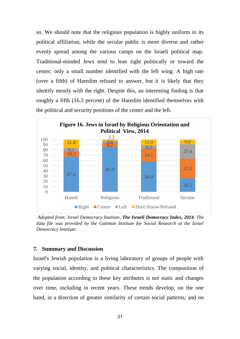so. We should note that the religious population is highly uniform in its political affiliation, while the secular public is more diverse and rather evenly spread among the various camps on the Israeli political map. Traditional-minded Jews tend to lean right politically or toward the center; only a small number identified with the left wing. A high rate (over a fifth) of Haredim refused to answer, but it is likely that they identify mostly with the right. Despite this, an interesting finding is that roughly a fifth (16.3 percent) of the Haredim identified themselves with the political and security positions of the center and the left.



*Adopted from: Israel Democracy Institute, The Israeli Democracy Index, 2014. The data file was provided by the Guttman Institute for Social Research at the Israel Democracy Institute.* 

#### **7. Summary and Discussion**

Israel's Jewish population is a living laboratory of groups of people with varying social, identity, and political characteristics. The composition of the population according to these key attributes is not static and changes over time, including in recent years. These trends develop, on the one hand, in a direction of greater similarity of certain social patterns; and on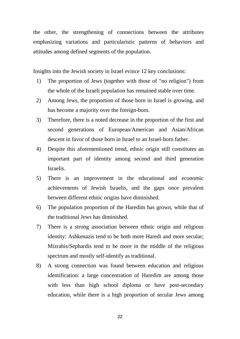the other, the strengthening of connections between the attributes emphasizing variations and particularistic patterns of behaviors and attitudes among defined segments of the population.

Insights into the Jewish society in Israel evince 12 key conclusions:

- 1) The proportion of Jews (together with those of "no religion") from the whole of the Israeli population has remained stable over time.
- 2) Among Jews, the proportion of those born in Israel is growing, and has become a majority over the foreign-born.
- 3) Therefore, there is a noted decrease in the proportion of the first and second generations of European/American and Asian/African descent in favor of those born in Israel to an Israel-born father.
- 4) Despite this aforementioned trend, ethnic origin still constitutes an important part of identity among second and third generation Israelis.
- 5) There is an improvement in the educational and economic achievements of Jewish Israelis, and the gaps once prevalent between different ethnic origins have diminished.
- 6) The population proportion of the Haredim has grown, while that of the traditional Jews has diminished.
- 7) There is a strong association between ethnic origin and religious identity: Ashkenazis tend to be both more Haredi and more secular; Mizrahis/Sephardis tend to be more in the middle of the religious spectrum and mostly self-identify as traditional.
- 8) A strong connection was found between education and religious identification: a large concentration of Haredim are among those with less than high school diploma or have post-secondary education, while there is a high proportion of secular Jews among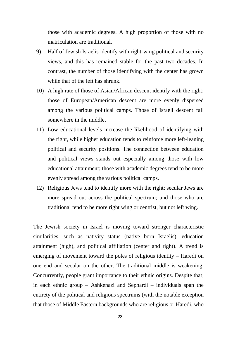those with academic degrees. A high proportion of those with no matriculation are traditional.

- 9) Half of Jewish Israelis identify with right-wing political and security views, and this has remained stable for the past two decades. In contrast, the number of those identifying with the center has grown while that of the left has shrunk.
- 10) A high rate of those of Asian/African descent identify with the right; those of European/American descent are more evenly dispersed among the various political camps. Those of Israeli descent fall somewhere in the middle.
- 11) Low educational levels increase the likelihood of identifying with the right, while higher education tends to reinforce more left-leaning political and security positions. The connection between education and political views stands out especially among those with low educational attainment; those with academic degrees tend to be more evenly spread among the various political camps.
- 12) Religious Jews tend to identify more with the right; secular Jews are more spread out across the political spectrum; and those who are traditional tend to be more right wing or centrist, but not left wing.

The Jewish society in Israel is moving toward stronger characteristic similarities, such as nativity status (native born Israelis), education attainment (high), and political affiliation (center and right). A trend is emerging of movement toward the poles of religious identity – Haredi on one end and secular on the other. The traditional middle is weakening. Concurrently, people grant importance to their ethnic origins. Despite that, in each ethnic group – Ashkenazi and Sephardi – individuals span the entirety of the political and religious spectrums (with the notable exception that those of Middle Eastern backgrounds who are religious or Haredi, who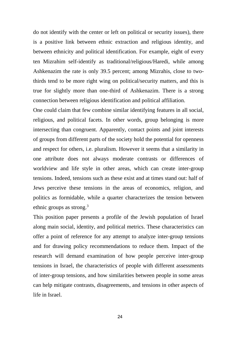do not identify with the center or left on political or security issues), there is a positive link between ethnic extraction and religious identity, and between ethnicity and political identification. For example, eight of every ten Mizrahim self-identify as traditional/religious/Haredi, while among Ashkenazim the rate is only 39.5 percent; among Mizrahis, close to twothirds tend to be more right wing on political/security matters, and this is true for slightly more than one-third of Ashkenazim. There is a strong connection between religious identification and political affiliation.

One could claim that few combine similar identifying features in all social, religious, and political facets. In other words, group belonging is more intersecting than congruent. Apparently, contact points and joint interests of groups from different parts of the society hold the potential for openness and respect for others, i.e. pluralism. However it seems that a similarity in one attribute does not always moderate contrasts or differences of worldview and life style in other areas, which can create inter-group tensions. Indeed, tensions such as these exist and at times stand out: half of Jews perceive these tensions in the areas of economics, religion, and politics as formidable, while a quarter characterizes the tension between ethnic groups as strong.<sup>3</sup>

This position paper presents a profile of the Jewish population of Israel along main social, identity, and political metrics. These characteristics can offer a point of reference for any attempt to analyze inter-group tensions and for drawing policy recommendations to reduce them. Impact of the research will demand examination of how people perceive inter-group tensions in Israel, the characteristics of people with different assessments of inter-group tensions, and how similarities between people in some areas can help mitigate contrasts, disagreements, and tensions in other aspects of life in Israel.